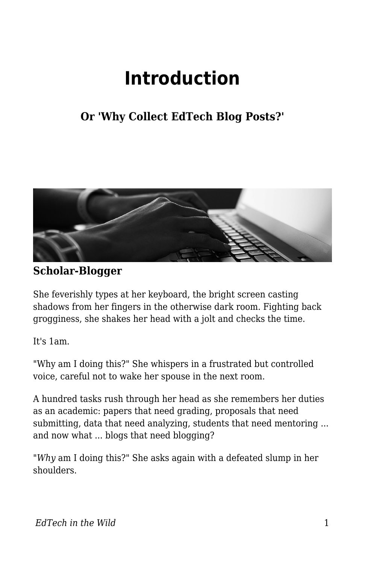## **Introduction**

## **Or 'Why Collect EdTech Blog Posts?'**



**Scholar-Blogger**

She feverishly types at her keyboard, the bright screen casting shadows from her fingers in the otherwise dark room. Fighting back grogginess, she shakes her head with a jolt and checks the time.

It's 1am.

"Why am I doing this?" She whispers in a frustrated but controlled voice, careful not to wake her spouse in the next room.

A hundred tasks rush through her head as she remembers her duties as an academic: papers that need grading, proposals that need submitting, data that need analyzing, students that need mentoring ... and now what ... blogs that need blogging?

"*Why* am I doing this?" She asks again with a defeated slump in her shoulders.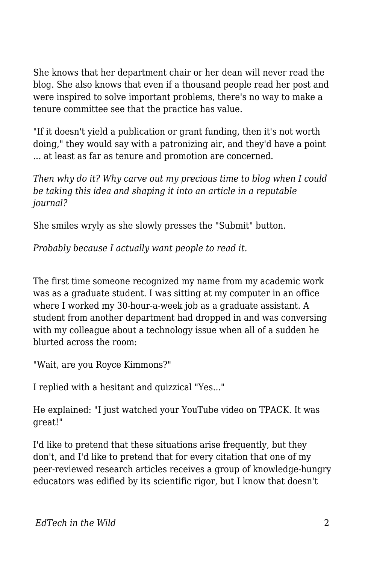She knows that her department chair or her dean will never read the blog. She also knows that even if a thousand people read her post and were inspired to solve important problems, there's no way to make a tenure committee see that the practice has value.

"If it doesn't yield a publication or grant funding, then it's not worth doing," they would say with a patronizing air, and they'd have a point ... at least as far as tenure and promotion are concerned.

*Then why do it? Why carve out my precious time to blog when I could be taking this idea and shaping it into an article in a reputable journal?*

She smiles wryly as she slowly presses the "Submit" button.

*Probably because I actually want people to read it.*

The first time someone recognized my name from my academic work was as a graduate student. I was sitting at my computer in an office where I worked my 30-hour-a-week job as a graduate assistant. A student from another department had dropped in and was conversing with my colleague about a technology issue when all of a sudden he blurted across the room:

"Wait, are you Royce Kimmons?"

I replied with a hesitant and quizzical "Yes..."

He explained: "I just watched your YouTube video on TPACK. It was great!"

I'd like to pretend that these situations arise frequently, but they don't, and I'd like to pretend that for every citation that one of my peer-reviewed research articles receives a group of knowledge-hungry educators was edified by its scientific rigor, but I know that doesn't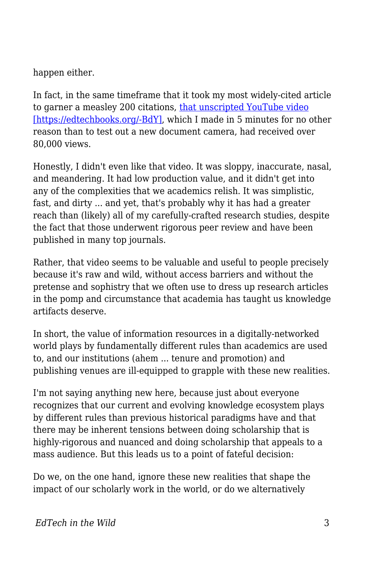## happen either.

In fact, in the same timeframe that it took my most widely-cited article to garner a measley 200 citations, [that unscripted YouTube video](https://www.youtube.com/watch?v=0wGpSaTzW58) [\[https://edtechbooks.org/-BdY\],](https://www.youtube.com/watch?v=0wGpSaTzW58) which I made in 5 minutes for no other reason than to test out a new document camera, had received over 80,000 views.

Honestly, I didn't even like that video. It was sloppy, inaccurate, nasal, and meandering. It had low production value, and it didn't get into any of the complexities that we academics relish. It was simplistic, fast, and dirty ... and yet, that's probably why it has had a greater reach than (likely) all of my carefully-crafted research studies, despite the fact that those underwent rigorous peer review and have been published in many top journals.

Rather, that video seems to be valuable and useful to people precisely because it's raw and wild, without access barriers and without the pretense and sophistry that we often use to dress up research articles in the pomp and circumstance that academia has taught us knowledge artifacts deserve.

In short, the value of information resources in a digitally-networked world plays by fundamentally different rules than academics are used to, and our institutions (ahem ... tenure and promotion) and publishing venues are ill-equipped to grapple with these new realities.

I'm not saying anything new here, because just about everyone recognizes that our current and evolving knowledge ecosystem plays by different rules than previous historical paradigms have and that there may be inherent tensions between doing scholarship that is highly-rigorous and nuanced and doing scholarship that appeals to a mass audience. But this leads us to a point of fateful decision:

Do we, on the one hand, ignore these new realities that shape the impact of our scholarly work in the world, or do we alternatively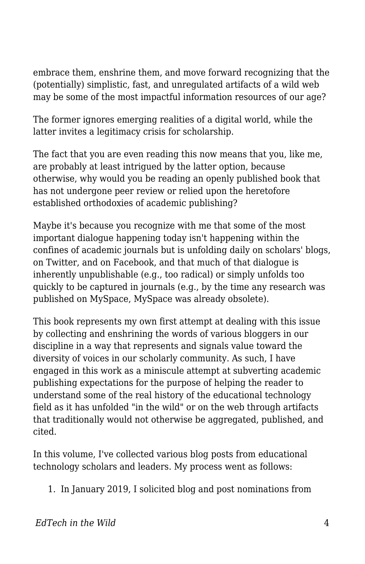embrace them, enshrine them, and move forward recognizing that the (potentially) simplistic, fast, and unregulated artifacts of a wild web may be some of the most impactful information resources of our age?

The former ignores emerging realities of a digital world, while the latter invites a legitimacy crisis for scholarship.

The fact that you are even reading this now means that you, like me, are probably at least intrigued by the latter option, because otherwise, why would you be reading an openly published book that has not undergone peer review or relied upon the heretofore established orthodoxies of academic publishing?

Maybe it's because you recognize with me that some of the most important dialogue happening today isn't happening within the confines of academic journals but is unfolding daily on scholars' blogs, on Twitter, and on Facebook, and that much of that dialogue is inherently unpublishable (e.g., too radical) or simply unfolds too quickly to be captured in journals (e.g., by the time any research was published on MySpace, MySpace was already obsolete).

This book represents my own first attempt at dealing with this issue by collecting and enshrining the words of various bloggers in our discipline in a way that represents and signals value toward the diversity of voices in our scholarly community. As such, I have engaged in this work as a miniscule attempt at subverting academic publishing expectations for the purpose of helping the reader to understand some of the real history of the educational technology field as it has unfolded "in the wild" or on the web through artifacts that traditionally would not otherwise be aggregated, published, and cited.

In this volume, I've collected various blog posts from educational technology scholars and leaders. My process went as follows:

1. In January 2019, I solicited blog and post nominations from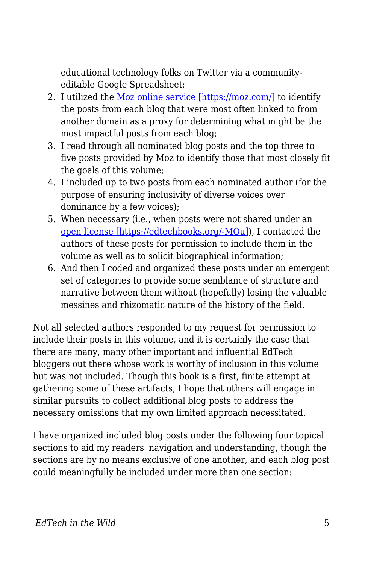educational technology folks on Twitter via a communityeditable Google Spreadsheet;

- 2. I utilized the [Moz online service \[https://moz.com/\]](https://moz.com/) to identify the posts from each blog that were most often linked to from another domain as a proxy for determining what might be the most impactful posts from each blog;
- 3. I read through all nominated blog posts and the top three to five posts provided by Moz to identify those that most closely fit the goals of this volume;
- 4. I included up to two posts from each nominated author (for the purpose of ensuring inclusivity of diverse voices over dominance by a few voices);
- 5. When necessary (i.e., when posts were not shared under an [open license \[https://edtechbooks.org/-MQu\]\)](https://edtechbooks.org/wild/licensing), I contacted the authors of these posts for permission to include them in the volume as well as to solicit biographical information;
- 6. And then I coded and organized these posts under an emergent set of categories to provide some semblance of structure and narrative between them without (hopefully) losing the valuable messines and rhizomatic nature of the history of the field.

Not all selected authors responded to my request for permission to include their posts in this volume, and it is certainly the case that there are many, many other important and influential EdTech bloggers out there whose work is worthy of inclusion in this volume but was not included. Though this book is a first, finite attempt at gathering some of these artifacts, I hope that others will engage in similar pursuits to collect additional blog posts to address the necessary omissions that my own limited approach necessitated.

I have organized included blog posts under the following four topical sections to aid my readers' navigation and understanding, though the sections are by no means exclusive of one another, and each blog post could meaningfully be included under more than one section: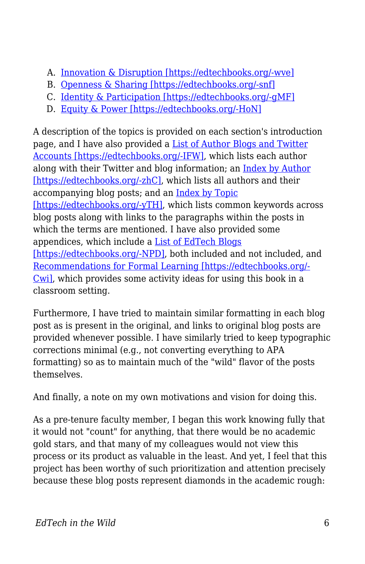- A. [Innovation & Disruption \[https://edtechbooks.org/-wve\]](https://edtechbooks.org/wild/innovation_disruption)
- B. [Openness & Sharing \[https://edtechbooks.org/-snf\]](https://edtechbooks.org/wild/openness_sharing)
- C. [Identity & Participation \[https://edtechbooks.org/-gMF\]](https://edtechbooks.org/wild/identity_participation)
- D. [Equity & Power \[https://edtechbooks.org/-HoN\]](https://edtechbooks.org/wild/equity_power)

A description of the topics is provided on each section's introduction page, and I have also provided a [List of Author Blogs and Twitter](https://edtechbooks.org/wild/author_links) [Accounts \[https://edtechbooks.org/-IFW\]](https://edtechbooks.org/wild/author_links), which lists each author along with their Twitter and blog information; an [Index by Author](https://edtechbooks.org/wild/author_list) [\[https://edtechbooks.org/-zhC\],](https://edtechbooks.org/wild/author_list) which lists all authors and their accompanying blog posts; and an [Index by Topic](https://edtechbooks.org/wild/index) [\[https://edtechbooks.org/-yTH\]](https://edtechbooks.org/wild/index), which lists common keywords across blog posts along with links to the paragraphs within the posts in which the terms are mentioned. I have also provided some appendices, which include a [List of EdTech Blogs](https://edtechbooks.org/wild/list_of_blogs) [\[https://edtechbooks.org/-NPD\],](https://edtechbooks.org/wild/list_of_blogs) both included and not included, and [Recommendations for Formal Learning \[https://edtechbooks.org/-](https://edtechbooks.org/wild/recommendations) [Cwi\],](https://edtechbooks.org/wild/recommendations) which provides some activity ideas for using this book in a classroom setting.

Furthermore, I have tried to maintain similar formatting in each blog post as is present in the original, and links to original blog posts are provided whenever possible. I have similarly tried to keep typographic corrections minimal (e.g., not converting everything to APA formatting) so as to maintain much of the "wild" flavor of the posts themselves.

And finally, a note on my own motivations and vision for doing this.

As a pre-tenure faculty member, I began this work knowing fully that it would not "count" for anything, that there would be no academic gold stars, and that many of my colleagues would not view this process or its product as valuable in the least. And yet, I feel that this project has been worthy of such prioritization and attention precisely because these blog posts represent diamonds in the academic rough: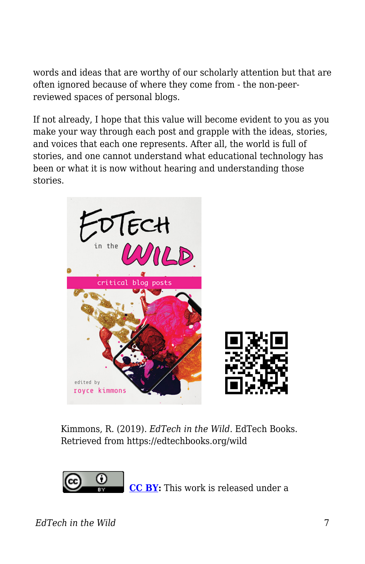words and ideas that are worthy of our scholarly attention but that are often ignored because of where they come from - the non-peerreviewed spaces of personal blogs.

If not already, I hope that this value will become evident to you as you make your way through each post and grapple with the ideas, stories, and voices that each one represents. After all, the world is full of stories, and one cannot understand what educational technology has been or what it is now without hearing and understanding those stories.



Kimmons, R. (2019). *EdTech in the Wild*. EdTech Books. Retrieved from https://edtechbooks.org/wild



**[CC BY:](https://creativecommons.org/licenses/by/4.0)** This work is released under a